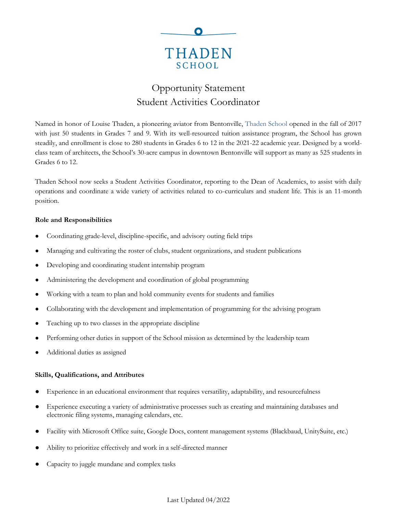

# Opportunity Statement Student Activities Coordinator

Named in honor of Louise Thaden, a pioneering aviator from Bentonville, [Thaden School](https://thadenschool.org/) opened in the fall of 2017 with just 50 students in Grades 7 and 9. With its well-resourced tuition assistance program, the School has grown steadily, and enrollment is close to 280 students in Grades 6 to 12 in the 2021-22 academic year. Designed by a worldclass team of architects, the School's 30-acre campus in downtown Bentonville will support as many as 525 students in Grades 6 to 12.

Thaden School now seeks a Student Activities Coordinator, reporting to the Dean of Academics, to assist with daily operations and coordinate a wide variety of activities related to co-curriculars and student life. This is an 11-month position.

## **Role and Responsibilities**

- Coordinating grade-level, discipline-specific, and advisory outing field trips
- Managing and cultivating the roster of clubs, student organizations, and student publications
- Developing and coordinating student internship program
- Administering the development and coordination of global programming
- Working with a team to plan and hold community events for students and families
- Collaborating with the development and implementation of programming for the advising program
- Teaching up to two classes in the appropriate discipline
- Performing other duties in support of the School mission as determined by the leadership team
- Additional duties as assigned

## **Skills, Qualifications, and Attributes**

- Experience in an educational environment that requires versatility, adaptability, and resourcefulness
- Experience executing a variety of administrative processes such as creating and maintaining databases and electronic filing systems, managing calendars, etc.
- Facility with Microsoft Office suite, Google Docs, content management systems (Blackbaud, UnitySuite, etc.)
- Ability to prioritize effectively and work in a self-directed manner
- Capacity to juggle mundane and complex tasks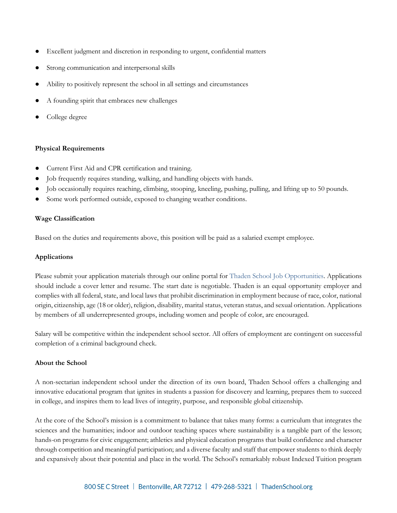- Excellent judgment and discretion in responding to urgent, confidential matters
- Strong communication and interpersonal skills
- Ability to positively represent the school in all settings and circumstances
- A founding spirit that embraces new challenges
- College degree

## **Physical Requirements**

- Current First Aid and CPR certification and training.
- Job frequently requires standing, walking, and handling objects with hands.
- Job occasionally requires reaching, climbing, stooping, kneeling, pushing, pulling, and lifting up to 50 pounds.
- Some work performed outside, exposed to changing weather conditions.

## **Wage Classification**

Based on the duties and requirements above, this position will be paid as a salaried exempt employee.

### **Applications**

Please submit your application materials through our online portal for [Thaden School Job Opportunities.](https://www.paycomonline.net/v4/ats/web.php/jobs?clientkey=E412B6EED165D3FD16DB0FF91E74B10C&session_nonce=915852c58367eb064b1ae3ce5464ff79) Applications should include a cover letter and resume. The start date is negotiable. Thaden is an equal opportunity employer and complies with all federal, state, and local laws that prohibit discrimination in employment because of race, color, national origin, citizenship, age (18 or older), religion, disability, marital status, veteran status, and sexual orientation. Applications by members of all underrepresented groups, including women and people of color, are encouraged.

Salary will be competitive within the independent school sector. All offers of employment are contingent on successful completion of a criminal background check.

## **About the School**

A non-sectarian independent school under the direction of its own board, Thaden School offers a challenging and innovative educational program that ignites in students a passion for discovery and learning, prepares them to succeed in college, and inspires them to lead lives of integrity, purpose, and responsible global citizenship.

At the core of the School's mission is a commitment to balance that takes many forms: a curriculum that integrates the sciences and the humanities; indoor and outdoor teaching spaces where sustainability is a tangible part of the lesson; hands-on programs for civic engagement; athletics and physical education programs that build confidence and character through competition and meaningful participation; and a diverse faculty and staff that empower students to think deeply and expansively about their potential and place in the world. The School's remarkably robust Indexed Tuition program